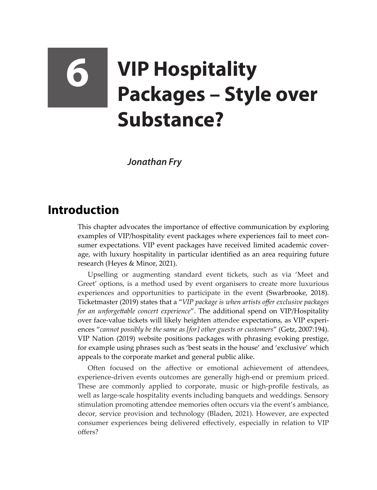## **6 VIP Hospitality Packages – Style over Substance?**

*Jonathan Fry* 

## **Introduction**

This chapter advocates the importance of effective communication by exploring examples of VIP/hospitality event packages where experiences fail to meet consumer expectations. VIP event packages have received limited academic coverage, with luxury hospitality in particular identified as an area requiring future research (Heyes & Minor, 2021).

Upselling or augmenting standard event tickets, such as via 'Meet and Greet' options, is a method used by event organisers to create more luxurious experiences and opportunities to participate in the event (Swarbrooke, 2018). Ticketmaster (2019) states that a "*VIP package is when artists offer exclusive packages for an unforgettable concert experience*". The additional spend on VIP/Hospitality over face-value tickets will likely heighten attendee expectations, as VIP experiences "*cannot possibly be the same as [for] other guests or customers*" (Getz, 2007:194). VIP Nation (2019) website positions packages with phrasing evoking prestige, for example using phrases such as 'best seats in the house' and 'exclusive' which appeals to the corporate market and general public alike.

Often focused on the affective or emotional achievement of attendees, experience-driven events outcomes are generally high-end or premium priced. These are commonly applied to corporate, music or high-profile festivals, as well as large-scale hospitality events including banquets and weddings. Sensory stimulation promoting attendee memories often occurs via the event's ambiance, decor, service provision and technology (Bladen, 2021). However, are expected consumer experiences being delivered effectively, especially in relation to VIP offers?